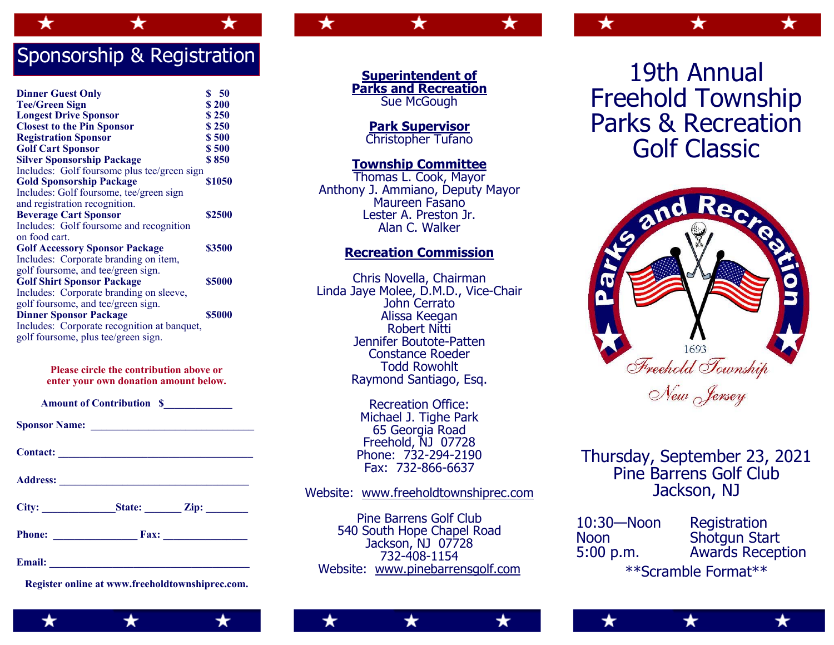# Sponsorship & Registration

| <b>Dinner Guest Only</b><br><b>Tee/Green Sign</b> | \$50<br>\$200 |
|---------------------------------------------------|---------------|
| <b>Longest Drive Sponsor</b>                      | \$250         |
| <b>Closest to the Pin Sponsor</b>                 | \$250         |
| <b>Registration Sponsor</b>                       | \$500         |
| <b>Golf Cart Sponsor</b>                          | \$500         |
| <b>Silver Sponsorship Package</b>                 | \$850         |
| Includes: Golf foursome plus tee/green sign       |               |
| <b>Gold Sponsorship Package</b>                   | \$1050        |
| Includes: Golf foursome, tee/green sign           |               |
| and registration recognition.                     |               |
| <b>Beverage Cart Sponsor</b>                      | \$2500        |
| Includes: Golf foursome and recognition           |               |
| on food cart.                                     |               |
| <b>Golf Accessory Sponsor Package</b>             | \$3500        |
| Includes: Corporate branding on item,             |               |
| golf foursome, and tee/green sign.                |               |
| <b>Golf Shirt Sponsor Package</b>                 | \$5000        |
| Includes: Corporate branding on sleeve,           |               |
| golf foursome, and tee/green sign.                |               |
| <b>Dinner Sponsor Package</b>                     | \$5000        |
| Includes: Corporate recognition at banquet,       |               |
| golf foursome, plus tee/green sign.               |               |

### **Please circle the contribution above or enter your own donation amount below.**

| <b>Amount of Contribution S</b> |  |
|---------------------------------|--|
|---------------------------------|--|

| <b>Sponsor Name:</b> |  |
|----------------------|--|
|                      |  |

Contact:

**Address: \_\_\_\_\_\_\_\_\_\_\_\_\_\_\_\_\_\_\_\_\_\_\_\_\_\_\_\_\_\_\_\_\_\_\_\_** 

| City: | State: | Zip: |
|-------|--------|------|
|-------|--------|------|

| <b>Phone:</b><br>Fax: |  |
|-----------------------|--|
|-----------------------|--|

**Email:**  $\blacksquare$ 

**Register online at www.freeholdtownshiprec.com.** 

**Superintendent of Parks and Recreation**  Sue McGough

**Park Supervisor**  Christopher Tufano

### **Township Committee**

Thomas L. Cook, Mayor Anthony J. Ammiano, Deputy Mayor Maureen Fasano Lester A. Preston Jr. Alan C. Walker

## **Recreation Commission**

Chris Novella, Chairman Linda Jaye Molee, D.M.D., Vice-Chair John Cerrato Alissa Keegan Robert Nitti Jennifer Boutote-Patten Constance Roeder Todd Rowohlt Raymond Santiago, Esq.

> Recreation Office: Michael J. Tighe Park 65 Georgia Road Freehold, NJ 07728 Phone: 732-294-2190 Fax: 732-866-6637

## Website: www.freeholdtownshiprec.com

Pine Barrens Golf Club 540 South Hope Chapel Road Jackson, NJ 07728 732-408-1154 Website: www.pinebarrensgolf.com

19th Annual Freehold Township Parks & Recreation Golf Classic

★



# Thursday, September 23, 2021 Pine Barrens Golf Club Jackson, NJ

10:30—Noon Registration<br>Noon Shotqun Sta Noon Shotgun Start<br>5:00 p.m. Awards Recep Awards Reception \*\*Scramble Format\*\*